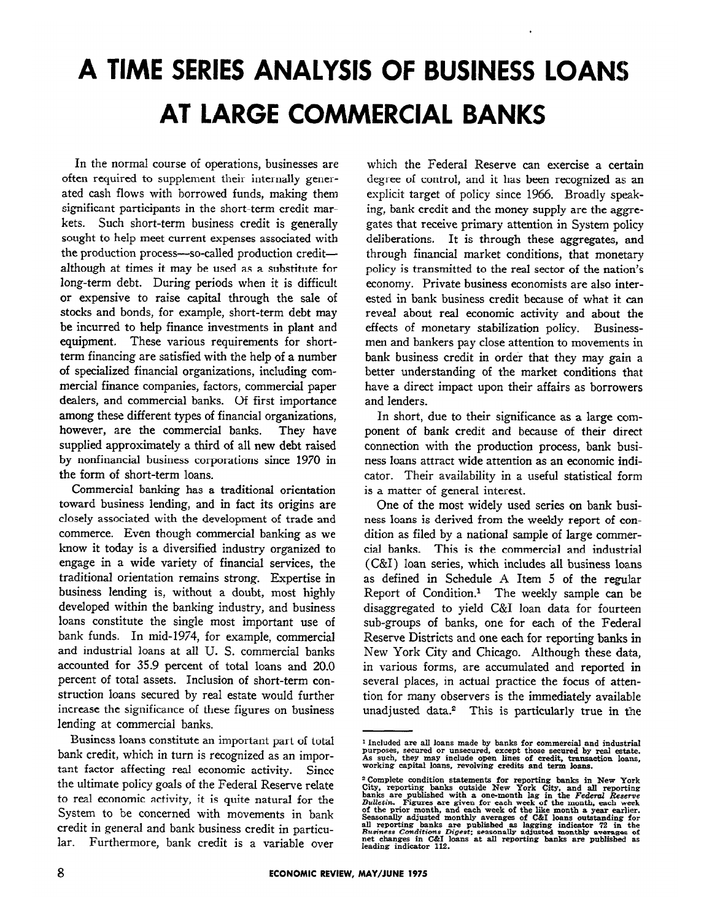# **A TIME SERIES ANALYSIS OF BUSINESS LOANS AT LARGE COMMERCIAL BANKS**

In the normal course of operations, businesses are often required to supplement their internally generated cash flows with borrowed funds, making them significant participants in the short-term credit markets. Such short-term business credit is generally sought to help meet current expenses associated with the production process-so-called production creditalthough at times it may be used as a substitute for long-term debt. During periods when it is difficult or expensive to raise capital through the sale of stocks and bonds, for example, short-term debt may be incurred to help finance investments in plant and equipment. These various requirements for shortterm financing are satisfied with the help of a number of specialized financial organizations, including commercial finance companies, factors, commercial paper dealers, and commercial banks. Of first importance among these different types of financial organizations, however, are the commercial banks. They have supplied approximately a third of all new debt raised by nonfinancial business corporations since 1970 in the form of short-term loans.

Commercial banking has a traditional orientation toward business lending, and in fact its origins are closely associated with the development of trade and commerce. Even though commercial banking as we know it today is a diversified industry organized to engage in a wide variety of financial services, the traditional orientation remains strong. Expertise in business lending is, without a doubt, most highly developed within the banking industry, and business loans constitute the single most important use of bank funds. In mid-1974, for example, commercial and industrial loans at all U. S. commercial banks accounted for 35.9 percent of total loans and 20.0 percent of total assets. Inclusion of short-term construction loans secured by real estate would further increase the significance of these figures on business lending at commercial banks.

Business loans constitute an important part of total bank credit, which in turn is recognized as an important factor affecting real economic activity. Since the ultimate policy goals of the Federal Reserve relate to real economic activity, it is quite natural for the System to be concerned with movements in bank credit in general and bank business credit in particular. Furthermore, bank credit is a variable over

which the Federal Reserve can exercise a certain degree of control, and it has been recognized as an explicit target of policy since 1966. Broadly speaking, bank credit and the money supply are the aggregates that receive primary attention in System policy deliberations. It is through these aggregates, and through financial market conditions, that monetary policy is transmitted to the real sector of the nation's economy. Private business economists are also interested in bank business credit because of what it can reveal about real economic activity and about the effects of monetary stabilization policy. Businessmen and bankers pay close attention to movements in bank business credit in order that they may gain a better understanding of the market conditions that have a direct impact upon their affairs as borrowers and lenders.

In short, due to their significance as a large component of bank credit and because of their direct connection with the production process, bank business loans attract wide attention as an economic indicator. Their availability in a useful statistical form is a matter of general interest.

One of the most widely used series on bank business loans is derived from the weekly report of condition as filed by a national sample of large commercial banks. This is the commercial and industrial (C&I) loan series, which includes all business loans as defined in Schedule A Item 5 of the regular Report of Condition.1 The weekly sample can be disaggregated to yield C&I loan data for fourteen sub-groups of banks, one for each of the Federal Reserve Districts and one each for reporting banks in New York City and Chicago. Although these data, in various forms, are accumulated and reported in several places, in actual practice the focus of attention for many observers is the immediately available unadjusted data.2 This is particularly true in the

Included are all loans made by banks for commercial and industrial and state purposes, secured or unsecured, except those secured by real estate. As such, they may include open lines of credit, transaction loans, working

<sup>&</sup>lt;sup>2</sup> Complete condition statements for reporting banks in New York City, reporting banks outside New York City, and all reporting consisted banks are published with a one-month lag in the Federal Reserve Bulletin. Figures leading indicator 112.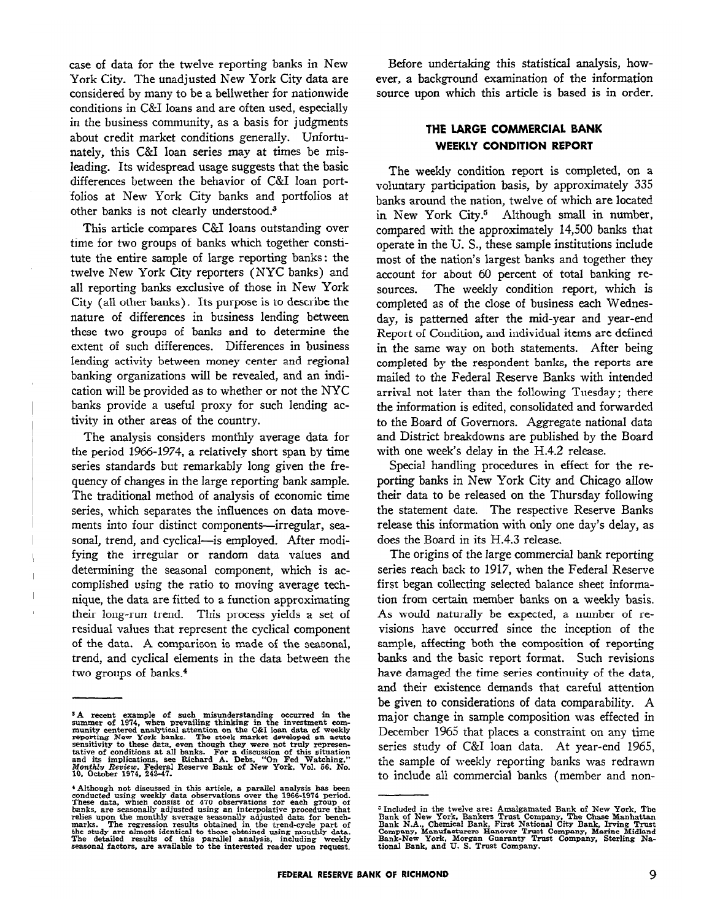case of data for the twelve reporting banks in New York City. The unadjusted New York City data are considered by many to be a bellwether for nationwide conditions in C&I loans and are often used, especially in the business community, as a basis for judgments about credit market conditions generally. Unfortunately, this C&I loan series may at times be misleading. Its widespread usage suggests that the basic differences between the behavior of C&I loan portfolios at New York City banks and portfolios at other banks is not clearly understood.3

This article compares C&I loans outstanding over time for two groups of banks which together constitute the entire sample of large reporting banks: the twelve New York City reporters (NYC banks) and all reporting banks exclusive of those in New York City (all other banks). Its purpose is to describe the nature of differences in business lending between these two groups of banks and to determine the extent of such differences. Differences in business lending activity between money center and regional banking organizations will be revealed, and an indication will be provided as to whether or not the NYC banks provide a useful proxy for such lending activity in other areas of the country.

The analysis considers monthly average data for the period 1966-1974, a relatively short span by time series standards but remarkably long given the frequency of changes in the large reporting bank sample. The traditional method of analysis of economic time series, which separates the influences on data movements into four distinct components-irregular, seasonal, trend, and cyclical--is employed. After modifying the irregular or random data values and determining the seasonal component, which is accomplished using the ratio to moving average technique, the data are fitted to a function approximating their long-run trend. This process yields a set of residual values that represent the cyclical component of the data. A comparison is made of the seasonal, trend, and cyclical elements in the data between the two groups of banks.4

Before undertaking this statistical analysis, however, a background examination of the information source upon which this article is based is in order.

# **THE LARGE COMMERCIAL BANK WEEKLY CONDITION REPORT**

The weekly condition report is completed, on a voluntary participation basis, by approximately 335 banks around the nation, twelve of which are located in New York City.<sup>5</sup> Although small in number, compared with the approximately 14,500 banks that operate in the U. S., these sample institutions include most of the nation's largest banks and together they account for about 60 percent of total banking resources. The weekly condition report, which is completed as of the close of business each Wednesday, is patterned after the mid-year and year-end Report of Condition, and individual items are defined in the same way on both statements. After being completed by the respondent banks, the reports are mailed to the Federal Reserve Banks with intended arrival not later than the following Tuesday ; there the information is edited, consolidated and forwarded to the Board of Governors. Aggregate national data and District breakdowns are published by the Board with one week's delay in the H.4.2 release.

Special handling procedures in effect for the reporting banks in New York City and Chicago allow their data to be released on the Thursday following the statement date. The respective Reserve Banks release this information with only one day's delay, as does the Board in its H.4.3 release.

The origins of the large commercial bank reporting series reach back to 1917, when the Federal Reserve first began collecting selected balance sheet information from certain member banks on a weekly basis. As would naturally be expected, a number of revisions have occurred since the inception of the sample, affecting both the composition of reporting banks and the basic report format. Such revisions have damaged the time series continuity of the data, and their existence demands that careful attention be given to considerations of data comparability. A major change in sample composition was effected in December 1965 that places a constraint on any time series study of C&I loan data. At year-end 1965, the sample of weekly reporting banks was redrawn to include all commercial banks (member and non-

<sup>&</sup>lt;sup>3</sup>A recent example of such misunderstanding occurred in the<br>summer of 1974, when prevailing thinking in the investment com-<br>munity centered analytical attention on the C&I loan data of weekly<br>reporting New York banks. Th

 $*$  Although not discussed in this article, a parallel analysis has been conducted using weekly data observations over the 1966-1974 period. These data, which consist of  $470$  observations for each group of banks, are sea the study are almost identical to those obtained using monthly data. The detailed results of this parallel analysis, including weekly seasonal factors, are available to the interested reader upon request.

<sup>&</sup>lt;sup>5</sup> Included in the tweive are: Amalgamated Bank of New York, The Bank of New York, Bankers Trust Company, The Chase Manhattan Bank N.A., Chemical Bank, First National City Bank, Irving Trust Company, Manufacturers Hanover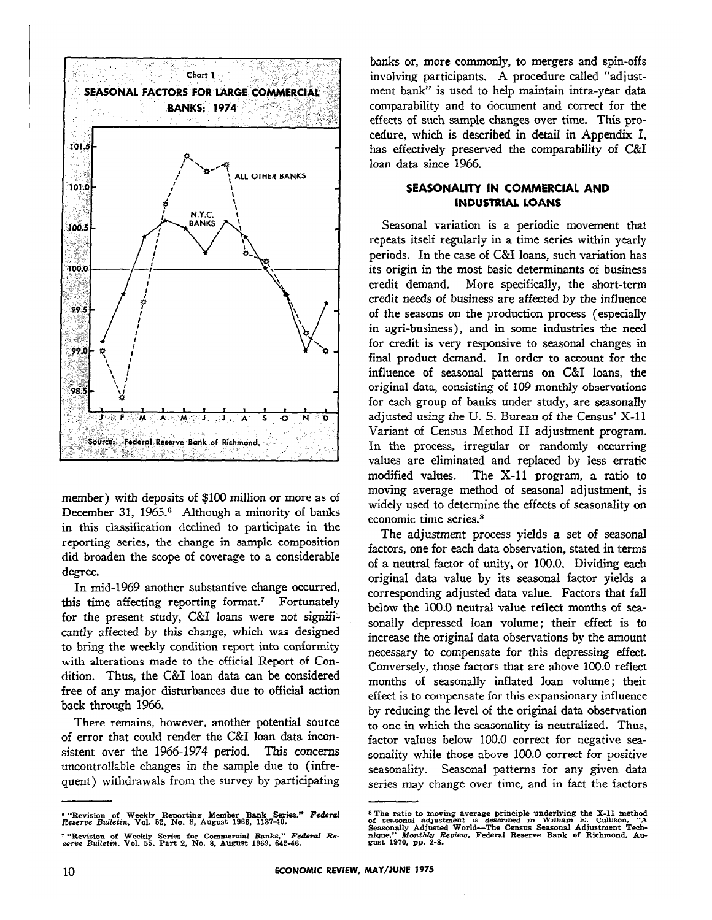

member) with deposits of \$100 million or more as of December 31, 1965.<sup>6</sup> Although a minority of banks in this classification declined to participate in the reporting series, the change in sample composition did broaden the scope of coverage to a considerable degree.

In mid-1969 another substantive change occurred, this time affecting reporting format.<sup>7</sup> Fortunately for the present study, C&I loans were not significantly affected by this change, which was designed to bring the weekly condition report into conformity with alterations made to the official Report of Condition. Thus, the C&I loan data can be considered free of any major disturbances due to official action back through 1966.

There remains, however, another potential source of error that could render the C&I loan data inconsistent over the 1966-1974 period. This concerns uncontrollable changes in the sample due to (infrequent) withdrawals from the survey by participating

6 "Revision of Weekly Reporting Member Bank Series." *Federal Reserve Bulletin,* Vol. 52, No. 8, August 1966, 1137-40.

banks or, more commonly, to mergers and spin-offs involving participants. A procedure called "adjustment bank" is used to help maintain intra-year data comparability and to document and correct for the effects of such sample changes over time. This procedure, which is described in detail in Appendix I, has effectively preserved the comparability of C&I loan data since 1966.

## **SEASONALITY IN COMMERCIAL AND INDUSTRIAL LOANS**

Seasonal variation is a periodic movement that repeats itself regularly in a time series within yearly periods. In the case of C&I loans, such variation has its origin in the most basic determinants of business credit demand. More specifically, the short-term credit needs of business are affected by the influence of the seasons on the production process (especially in agri-business), and in some industries the need for credit is very responsive to seasonal changes in final product demand. In order to account for the influence of seasonal patterns on C&I loans, the original data, consisting of 109 monthly observations for each group of banks under study, are seasonally adjusted using the U. S. Bureau of the Census' X-11 Variant of Census Method II adjustment program. In the process, irregular or randomly occurring values are eliminated and replaced by less erratic modified values. The  $X-11$  program, a ratio to moving average method of seasonal adjustment, is widely used to determine the effects of seasonality on economic time series.8

The adjustment process yields a set of seasonal factors, one for each data observation, stated in terms of a neutral factor of unity, or 100.0. Dividing each original data value by its seasonal factor yields a corresponding adjusted data value. Factors that fall below the 100.0 neutral value reflect months of seasonally depressed loan volume; their effect is to increase the original data observations by the amount necessary to compensate for this depressing effect. Conversely, those factors that are above 100.0 reflect months of seasonally inflated loan volume; their effect is to compensate for this expansionary influence by reducing the level of the original data observation to one in which the seasonality is neutralized. Thus, factor values below 100.0 correct for negative seasonality while those above 100.0 correct for positive seasonality. Seasonal patterns for any given. data series may change over time, and in fact the factors

<sup>7 &</sup>quot;Revision of Weekly Series for Commercial Banks." *Federal Re-serve Bulletin,* Vol. 55, Part 2, No. 8, August 1969, 642-46.

<sup>&</sup>lt;sup>s</sup> The ratio to moving average principle underlying the X-11 method soft seasonally Adjustment is described in William E. Cullison, "A Seasonally Adjusted World—The Census Seasonal Adjustment Technique," Monthly Review, F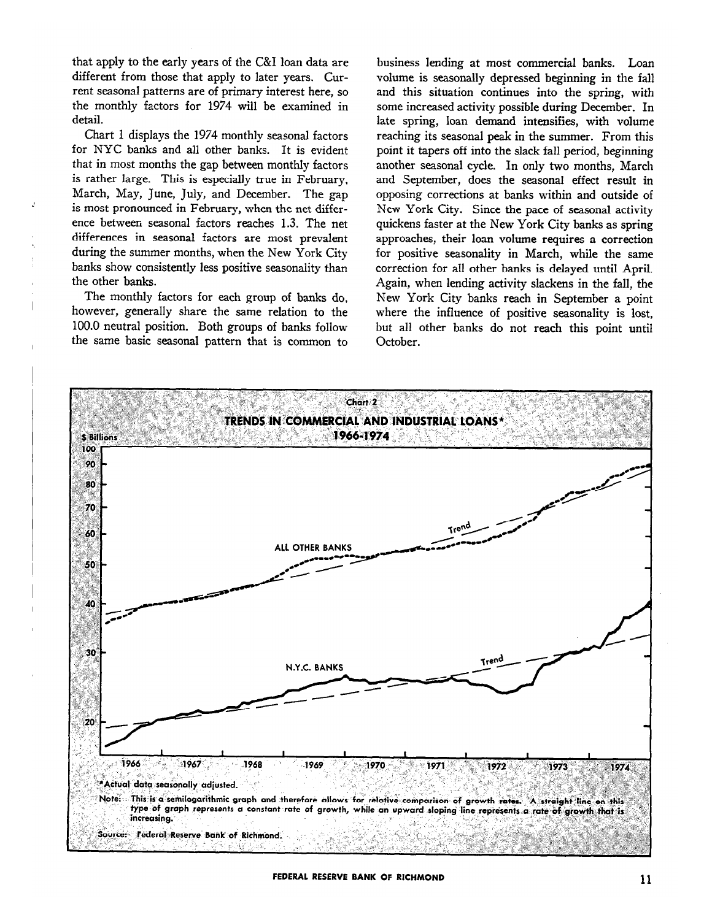that apply to the early years of the C&I loan data are different from those that apply to later years. Current seasonal patterns are of primary interest here, so the monthly factors for 1974 will be examined in detail.

Chart 1 displays the 1974 monthly seasonal factors for NYC banks and all other banks. It is evident that in most months the gap between monthly factors is rather large. This is especially true in February, March, May, June, July, and December. The gap is most pronounced in February, when the net difference between seasonal factors reaches 1.3. The net differences in seasonal factors are most prevalent during the summer months, when the New York City banks show consistently less positive seasonality than the other banks.

Ź

The monthly factors for each group of banks do, however, generally share the same relation to the 100.0 neutral position. Both groups of banks follow the same basic seasonal pattern that is common to

business lending at most commercial banks. Loan volume is seasonally depressed beginning in the fall and this situation continues into the spring, with some increased activity possible during December. In late spring, loan demand intensifies, with volume reaching its seasonal peak in the summer. From this point it tapers off into the slack fall period, beginning another seasonal cycle. In only two months, March and September, does the seasonal effect result in opposing corrections at banks within and outside of New York City. Since the pace of seasonal activity quickens faster at the New York City banks as spring approaches, their loan volume requires a correction for positive seasonality in March, while the same correction for all other banks is delayed until April. Again, when lending activity slackens in the fall, the New York City banks reach in September a point where the influence of positive seasonality is lost, but all other banks do not reach this point until October.

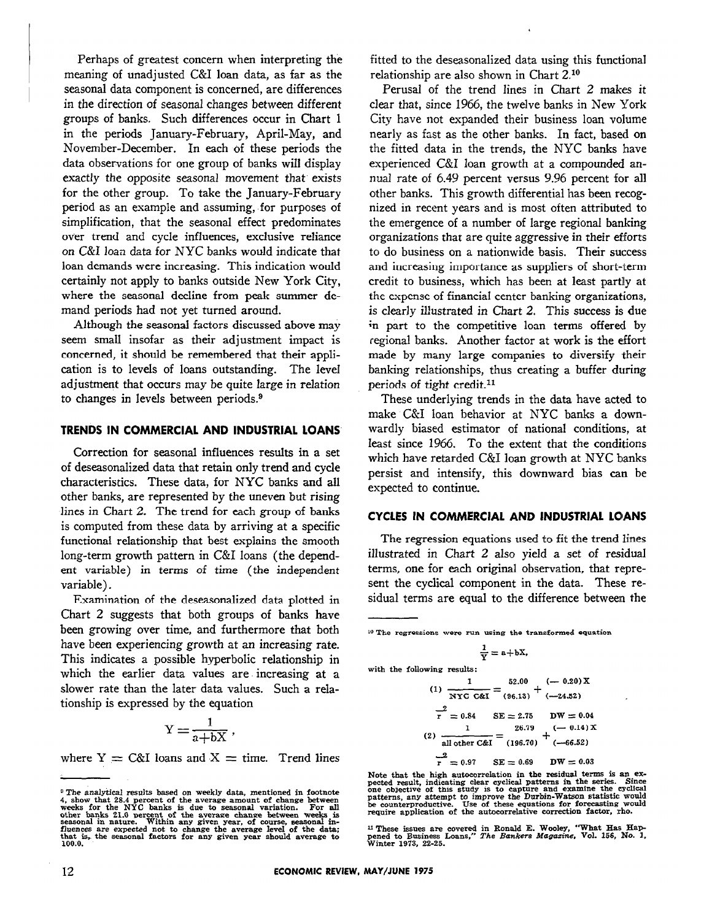Perhaps of greatest concern when interpreting the meaning of unadjusted C&I loan data, as far as the seasonal data component is concerned, are differences in the direction of seasonal changes between different groups of banks. Such differences occur in Chart 1 in the periods January-February, April-May, and November-December. In each of these periods the data observations for one group of banks will display exactly the opposite seasonal movement that exists for the other group. To take the January-February period as an example and assuming, for purposes of simplification, that the seasonal effect predominates over trend and cycle influences, exclusive reliance on C&I loan data for NYC banks would indicate that loan demands were increasing. This indication would certainly not apply to banks outside New York City, where the seasonal decline from peak summer demand periods had not yet turned around.

Although the seasonal factors discussed above may seem small insofar as their adjustment impact is concerned, it should be remembered that their application is to levels of loans outstanding. The level adjustment that occurs may be quite large in relation to changes in levels between periods.9

### **TRENDS IN COMMERCIAL AND INDUSTRIAL LOANS**

Correction for seasonal influences results in a set of deseasonalized data that retain only trend and cycle characteristics. These data, for NYC banks and all other banks, are represented by the uneven but rising lines in Chart 2. The trend for each group of banks is computed from these data by arriving at a specific functional relationship that best explains the smooth long-term growth pattern in C&I loans (the dependent variable) in terms of time (the independent variable).

Examination of the deseasonalized data plotted in Chart 2 suggests that both groups of banks have been growing over time, and furthermore that both have been experiencing growth at an increasing rate. This indicates a possible hyperbolic relationship in which the earlier data values are increasing at a slower rate than the later data values. Such a relationship is expressed by the equation

$$
Y = \frac{1}{a + bX} \,,
$$

where  $Y = C\&I$  loans and  $X =$  time. Trend lines

fitted to the deseasonalized data using this functional relationship are also shown in Chart 2.10

Perusal of the trend lines in Chart 2 makes it clear that, since 1966, the twelve banks in New York City have not expanded their business loan volume nearly as fast as the other banks. In fact, based on the fitted data in the trends, the NYC banks have experienced C&I loan growth at a compounded annual rate of 6.49 percent versus 9.96 percent for all other banks. This growth differential has been recognized in recent years and is most often attributed to the emergence of a number of large regional banking organizations that are quite aggressive in their efforts to do business on a nationwide basis. Their success and increasing importance as suppliers of short-term credit to business, which has been at least partly at the expense of financial center banking organizations, is clearly illustrated in Chart 2. This success is due in part to the competitive loan terms offered by regional banks. Another factor at work is the effort made by many large companies to diversify their banking relationships, thus creating a buffer during periods of tight credit.<sup>11</sup>

These underlying trends in the data have acted to make C&I loan behavior at NYC banks a downwardly biased estimator of national conditions, at least since 1966. To the extent that the conditions which have retarded C&I loan growth at NYC banks persist and intensify, this downward bias can be expected to continue.

## **CYCLES IN COMMERCIAL AND INDUSTRIAL LOANS**

The regression equations used to fit the trend lines illustrated in Chart 2 also yield a set of residual terms, one for each original observation, that represent the cyclical component in the data. These residual terms are equal to the difference between the

$$
\frac{1}{\mathrm{Y}}=\mathrm{a}+\mathrm{b}\mathrm{X},
$$

with the following results:  
\n
$$
1 \qquad 52.00 \qquad (-0.20) \text{ X}
$$

(1) 
$$
\overline{NYC C\&E} = (96.13) + (-24.52)
$$
  
\n $\overline{r} = 0.84$  SE = 2.75 DW = 0.04  
\n(2)  $\frac{1}{\text{all other C&E}} = \frac{26.79}{(196.70)} + \frac{(-0.14)X}{(-66.52)}$   
\n $\overline{r} = 0.97$  SE = 0.69 DW = 0.03

Note that the high autocorrelation in the residual terms is an ex-<br>pected result, indicating clear cyclical patterns in the series. Since<br>one objective of this study is to capture and examine the eyclical<br>patterns, any at

11 These issues are covered in Ronald E. Wooley, "What Has Hap-pened to Business Loans," *The Bankers Magazine,* Vol. 156, No. 1, Winter 1973, 22-25.

 $^9$  The analytical results based on weekly data, mentioned in footnote  $4$ , show that 28.4 percent of the average amount of change between weeks for the NYC banks is due to seasonal variation. For all other banks 21.0 pe

<sup>10</sup> The regressions were run using the transformed equation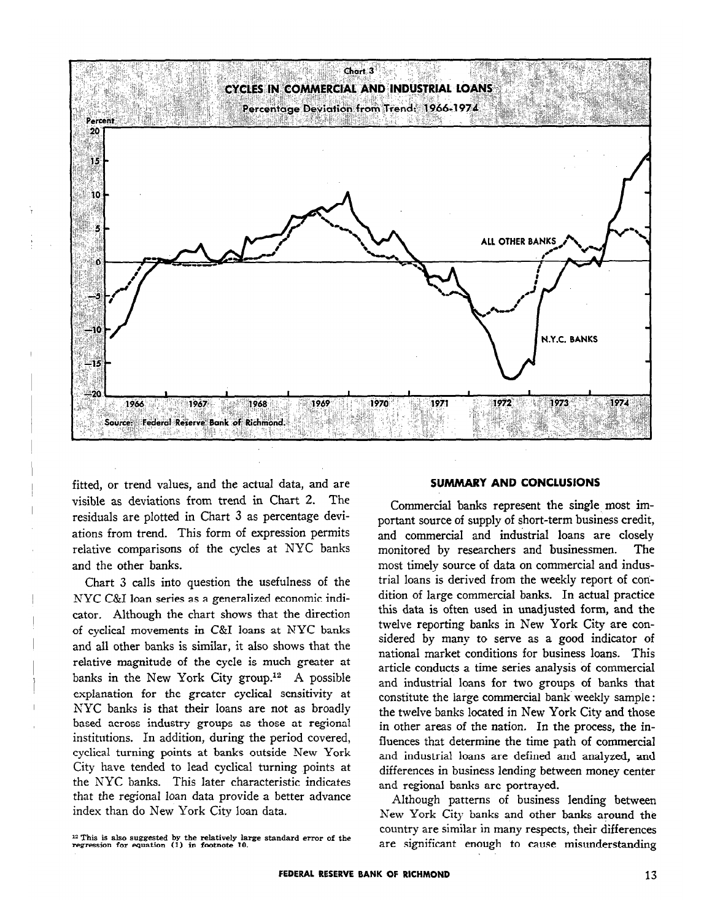

fitted, or trend values, and the actual data, and are visible as deviations from trend in Chart 2. The residuals are plotted in Chart 3 as percentage deviations from trend. This form of expression permits relative comparisons of the cycles at NYC banks and the other banks.

Chart 3 calls into question the usefulness of the NYC C&I loan series as a generalized economic indicator, Although the chart shows that the direction of cyclical movements in C&I loans at NYC banks and all other banks is similar, it also shows that the relative magnitude of the cycle is much greater at banks in the New York City group.12 A possible explanation for the greater cyclical sensitivity at NYC banks is that their loans are not as broadly based across industry groups as those at regional institutions. In addition, during the period covered, cyclical turning points at banks outside New York City have tended to lead cyclical turning points at the NYC banks. This later characteristic indicates that the regional loan data provide a better advance index than do New York City loan data.

# 12 This is also suggested by the relatively large standard error of the regression for equation (1) in footnote 10.

#### **SUMMARY AND CONCLUSIONS**

Commercial banks represent the single most important source of supply of short-term business credit, and commercial and industrial loans are closely monitored by researchers and businessmen. The most timely source of data on commercial and industrial loans is derived from the weekly report of condition of large commercial banks. In actual practice this data is often used in unadjusted form, and the twelve reporting banks in New York City are considered by many to serve as a good indicator of national market conditions for business loans. This article conducts a time series analysis of commercial and industrial loans for two groups of banks that constitute the large commercial bank weekly sample : the twelve banks located in New York City and those in other areas of the nation. In the process, the influences that determine the time path of commercial and industrial loans are defined and analyzed, and differences in business lending between money center and regional banks are portrayed.

Although patterns of business lending between New York City banks and other banks around the country are similar in many respects, their differences are significant enough to cause misunderstanding